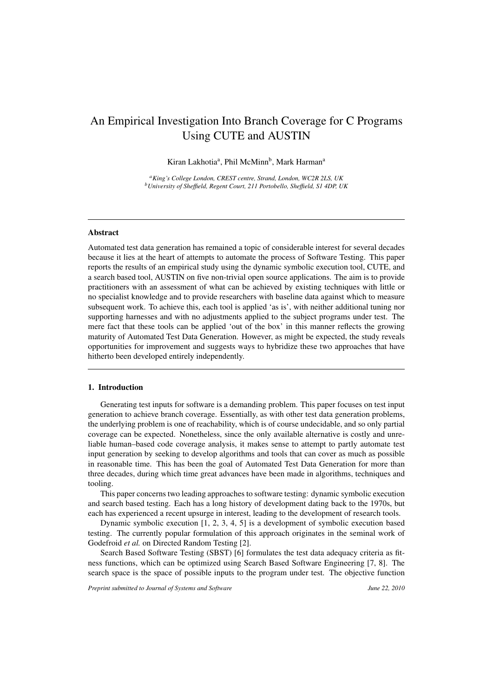# An Empirical Investigation Into Branch Coverage for C Programs Using CUTE and AUSTIN

Kiran Lakhotia<sup>a</sup>, Phil McMinn<sup>b</sup>, Mark Harman<sup>a</sup>

*aKing's College London, CREST centre, Strand, London, WC2R 2LS, UK bUniversity of She*ffi*eld, Regent Court, 211 Portobello, She*ffi*eld, S1 4DP, UK*

## Abstract

Automated test data generation has remained a topic of considerable interest for several decades because it lies at the heart of attempts to automate the process of Software Testing. This paper reports the results of an empirical study using the dynamic symbolic execution tool, CUTE, and a search based tool, AUSTIN on five non-trivial open source applications. The aim is to provide practitioners with an assessment of what can be achieved by existing techniques with little or no specialist knowledge and to provide researchers with baseline data against which to measure subsequent work. To achieve this, each tool is applied 'as is', with neither additional tuning nor supporting harnesses and with no adjustments applied to the subject programs under test. The mere fact that these tools can be applied 'out of the box' in this manner reflects the growing maturity of Automated Test Data Generation. However, as might be expected, the study reveals opportunities for improvement and suggests ways to hybridize these two approaches that have hitherto been developed entirely independently.

#### 1. Introduction

Generating test inputs for software is a demanding problem. This paper focuses on test input generation to achieve branch coverage. Essentially, as with other test data generation problems, the underlying problem is one of reachability, which is of course undecidable, and so only partial coverage can be expected. Nonetheless, since the only available alternative is costly and unreliable human–based code coverage analysis, it makes sense to attempt to partly automate test input generation by seeking to develop algorithms and tools that can cover as much as possible in reasonable time. This has been the goal of Automated Test Data Generation for more than three decades, during which time great advances have been made in algorithms, techniques and tooling.

This paper concerns two leading approaches to software testing: dynamic symbolic execution and search based testing. Each has a long history of development dating back to the 1970s, but each has experienced a recent upsurge in interest, leading to the development of research tools.

Dynamic symbolic execution [1, 2, 3, 4, 5] is a development of symbolic execution based testing. The currently popular formulation of this approach originates in the seminal work of Godefroid *et al.* on Directed Random Testing [2].

Search Based Software Testing (SBST) [6] formulates the test data adequacy criteria as fitness functions, which can be optimized using Search Based Software Engineering [7, 8]. The search space is the space of possible inputs to the program under test. The objective function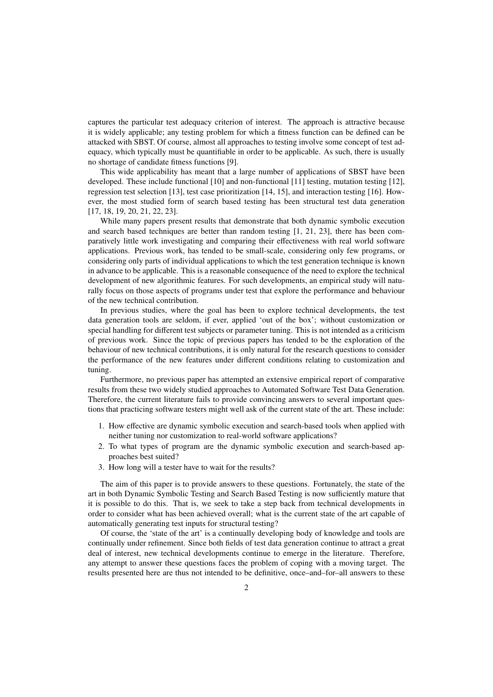captures the particular test adequacy criterion of interest. The approach is attractive because it is widely applicable; any testing problem for which a fitness function can be defined can be attacked with SBST. Of course, almost all approaches to testing involve some concept of test adequacy, which typically must be quantifiable in order to be applicable. As such, there is usually no shortage of candidate fitness functions [9].

This wide applicability has meant that a large number of applications of SBST have been developed. These include functional [10] and non-functional [11] testing, mutation testing [12], regression test selection [13], test case prioritization [14, 15], and interaction testing [16]. However, the most studied form of search based testing has been structural test data generation [17, 18, 19, 20, 21, 22, 23].

While many papers present results that demonstrate that both dynamic symbolic execution and search based techniques are better than random testing [1, 21, 23], there has been comparatively little work investigating and comparing their effectiveness with real world software applications. Previous work, has tended to be small-scale, considering only few programs, or considering only parts of individual applications to which the test generation technique is known in advance to be applicable. This is a reasonable consequence of the need to explore the technical development of new algorithmic features. For such developments, an empirical study will naturally focus on those aspects of programs under test that explore the performance and behaviour of the new technical contribution.

In previous studies, where the goal has been to explore technical developments, the test data generation tools are seldom, if ever, applied 'out of the box'; without customization or special handling for different test subjects or parameter tuning. This is not intended as a criticism of previous work. Since the topic of previous papers has tended to be the exploration of the behaviour of new technical contributions, it is only natural for the research questions to consider the performance of the new features under different conditions relating to customization and tuning.

Furthermore, no previous paper has attempted an extensive empirical report of comparative results from these two widely studied approaches to Automated Software Test Data Generation. Therefore, the current literature fails to provide convincing answers to several important questions that practicing software testers might well ask of the current state of the art. These include:

- 1. How effective are dynamic symbolic execution and search-based tools when applied with neither tuning nor customization to real-world software applications?
- 2. To what types of program are the dynamic symbolic execution and search-based approaches best suited?
- 3. How long will a tester have to wait for the results?

The aim of this paper is to provide answers to these questions. Fortunately, the state of the art in both Dynamic Symbolic Testing and Search Based Testing is now sufficiently mature that it is possible to do this. That is, we seek to take a step back from technical developments in order to consider what has been achieved overall; what is the current state of the art capable of automatically generating test inputs for structural testing?

Of course, the 'state of the art' is a continually developing body of knowledge and tools are continually under refinement. Since both fields of test data generation continue to attract a great deal of interest, new technical developments continue to emerge in the literature. Therefore, any attempt to answer these questions faces the problem of coping with a moving target. The results presented here are thus not intended to be definitive, once–and–for–all answers to these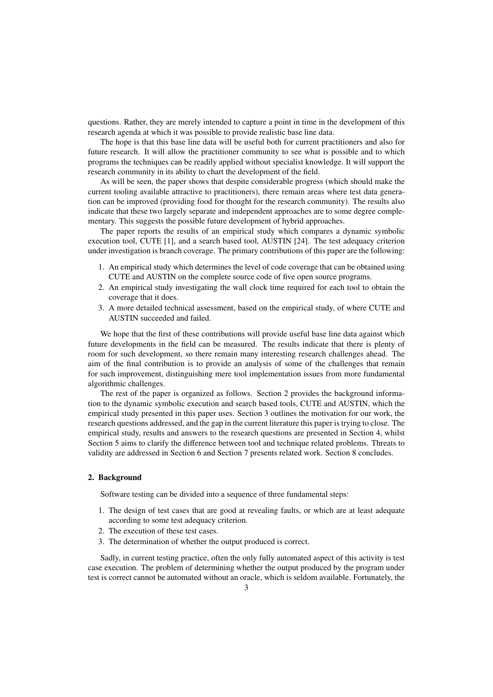questions. Rather, they are merely intended to capture a point in time in the development of this research agenda at which it was possible to provide realistic base line data.

The hope is that this base line data will be useful both for current practitioners and also for future research. It will allow the practitioner community to see what is possible and to which programs the techniques can be readily applied without specialist knowledge. It will support the research community in its ability to chart the development of the field.

As will be seen, the paper shows that despite considerable progress (which should make the current tooling available attractive to practitioners), there remain areas where test data generation can be improved (providing food for thought for the research community). The results also indicate that these two largely separate and independent approaches are to some degree complementary. This suggests the possible future development of hybrid approaches.

The paper reports the results of an empirical study which compares a dynamic symbolic execution tool, CUTE [1], and a search based tool, AUSTIN [24]. The test adequacy criterion under investigation is branch coverage. The primary contributions of this paper are the following:

- 1. An empirical study which determines the level of code coverage that can be obtained using CUTE and AUSTIN on the complete source code of five open source programs.
- 2. An empirical study investigating the wall clock time required for each tool to obtain the coverage that it does.
- 3. A more detailed technical assessment, based on the empirical study, of where CUTE and AUSTIN succeeded and failed.

We hope that the first of these contributions will provide useful base line data against which future developments in the field can be measured. The results indicate that there is plenty of room for such development, so there remain many interesting research challenges ahead. The aim of the final contribution is to provide an analysis of some of the challenges that remain for such improvement, distinguishing mere tool implementation issues from more fundamental algorithmic challenges.

The rest of the paper is organized as follows. Section 2 provides the background information to the dynamic symbolic execution and search based tools, CUTE and AUSTIN, which the empirical study presented in this paper uses. Section 3 outlines the motivation for our work, the research questions addressed, and the gap in the current literature this paper is trying to close. The empirical study, results and answers to the research questions are presented in Section 4, whilst Section 5 aims to clarify the difference between tool and technique related problems. Threats to validity are addressed in Section 6 and Section 7 presents related work. Section 8 concludes.

## 2. Background

Software testing can be divided into a sequence of three fundamental steps:

- 1. The design of test cases that are good at revealing faults, or which are at least adequate according to some test adequacy criterion.
- 2. The execution of these test cases.
- 3. The determination of whether the output produced is correct.

Sadly, in current testing practice, often the only fully automated aspect of this activity is test case execution. The problem of determining whether the output produced by the program under test is correct cannot be automated without an oracle, which is seldom available. Fortunately, the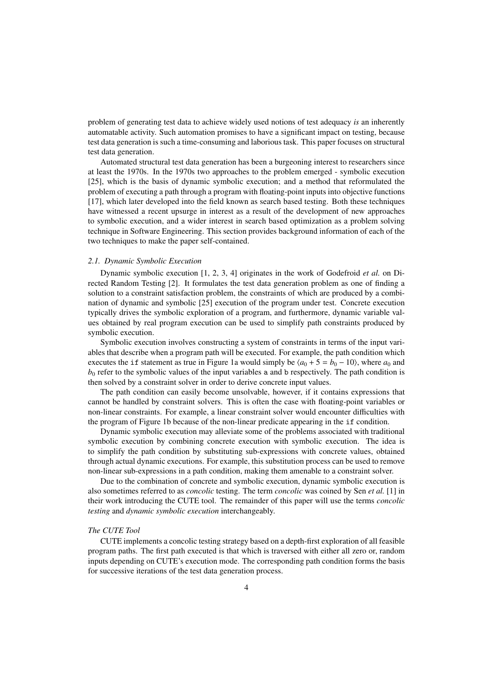problem of generating test data to achieve widely used notions of test adequacy *is* an inherently automatable activity. Such automation promises to have a significant impact on testing, because test data generation is such a time-consuming and laborious task. This paper focuses on structural test data generation.

Automated structural test data generation has been a burgeoning interest to researchers since at least the 1970s. In the 1970s two approaches to the problem emerged - symbolic execution [25], which is the basis of dynamic symbolic execution; and a method that reformulated the problem of executing a path through a program with floating-point inputs into objective functions [17], which later developed into the field known as search based testing. Both these techniques have witnessed a recent upsurge in interest as a result of the development of new approaches to symbolic execution, and a wider interest in search based optimization as a problem solving technique in Software Engineering. This section provides background information of each of the two techniques to make the paper self-contained.

## *2.1. Dynamic Symbolic Execution*

Dynamic symbolic execution [1, 2, 3, 4] originates in the work of Godefroid *et al.* on Directed Random Testing [2]. It formulates the test data generation problem as one of finding a solution to a constraint satisfaction problem, the constraints of which are produced by a combination of dynamic and symbolic [25] execution of the program under test. Concrete execution typically drives the symbolic exploration of a program, and furthermore, dynamic variable values obtained by real program execution can be used to simplify path constraints produced by symbolic execution.

Symbolic execution involves constructing a system of constraints in terms of the input variables that describe when a program path will be executed. For example, the path condition which executes the if statement as true in Figure 1a would simply be  $\langle a_0 + 5 = b_0 - 10 \rangle$ , where  $a_0$  and  $b<sub>0</sub>$  refer to the symbolic values of the input variables a and b respectively. The path condition is then solved by a constraint solver in order to derive concrete input values.

The path condition can easily become unsolvable, however, if it contains expressions that cannot be handled by constraint solvers. This is often the case with floating-point variables or non-linear constraints. For example, a linear constraint solver would encounter difficulties with the program of Figure 1b because of the non-linear predicate appearing in the if condition.

Dynamic symbolic execution may alleviate some of the problems associated with traditional symbolic execution by combining concrete execution with symbolic execution. The idea is to simplify the path condition by substituting sub-expressions with concrete values, obtained through actual dynamic executions. For example, this substitution process can be used to remove non-linear sub-expressions in a path condition, making them amenable to a constraint solver.

Due to the combination of concrete and symbolic execution, dynamic symbolic execution is also sometimes referred to as *concolic* testing. The term *concolic* was coined by Sen *et al.* [1] in their work introducing the CUTE tool. The remainder of this paper will use the terms *concolic testing* and *dynamic symbolic execution* interchangeably.

#### *The CUTE Tool*

CUTE implements a concolic testing strategy based on a depth-first exploration of all feasible program paths. The first path executed is that which is traversed with either all zero or, random inputs depending on CUTE's execution mode. The corresponding path condition forms the basis for successive iterations of the test data generation process.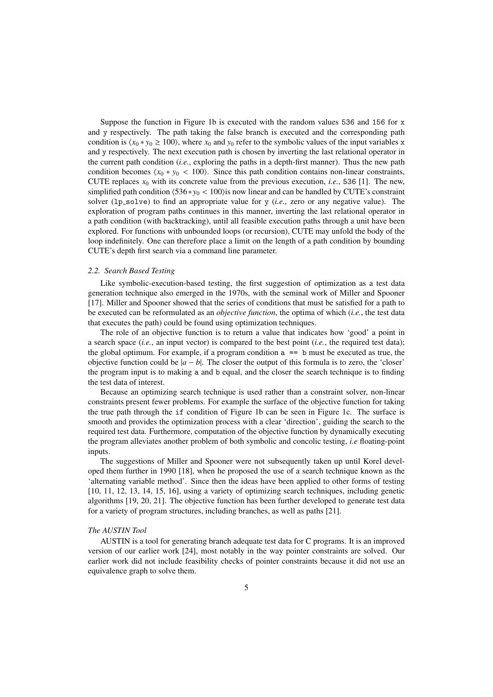Suppose the function in Figure 1b is executed with the random values 536 and 156 for x and y respectively. The path taking the false branch is executed and the corresponding path condition is  $\langle x_0 * y_0 \rangle \ge 100$ , where  $x_0$  and  $y_0$  refer to the symbolic values of the input variables x and y respectively. The next execution path is chosen by inverting the last relational operator in the current path condition (*i.e.*, exploring the paths in a depth-first manner). Thus the new path condition becomes  $\langle x_0 * y_0 \rangle$  = 100). Since this path condition contains non-linear constraints, CUTE replaces  $x_0$  with its concrete value from the previous execution, *i.e.*, 536 [1]. The new, simplified path condition  $(536 \times y_0 < 100)$  is now linear and can be handled by CUTE's constraint solver (1p<sub>-solve</sub>) to find an appropriate value for y (*i.e.*, zero or any negative value). The exploration of program paths continues in this manner, inverting the last relational operator in a path condition (with backtracking), until all feasible execution paths through a unit have been explored. For functions with unbounded loops (or recursion), CUTE may unfold the body of the loop indefinitely. One can therefore place a limit on the length of a path condition by bounding CUTE's depth first search via a command line parameter.

#### *2.2. Search Based Testing*

Like symbolic-execution-based testing, the first suggestion of optimization as a test data generation technique also emerged in the 1970s, with the seminal work of Miller and Spooner [17]. Miller and Spooner showed that the series of conditions that must be satisfied for a path to be executed can be reformulated as an *objective function*, the optima of which (*i.e.*, the test data that executes the path) could be found using optimization techniques.

The role of an objective function is to return a value that indicates how 'good' a point in a search space (*i.e.*, an input vector) is compared to the best point (*i.e.*, the required test data); the global optimum. For example, if a program condition  $a == b$  must be executed as true, the objective function could be |*a* − *b*|. The closer the output of this formula is to zero, the 'closer' the program input is to making a and b equal, and the closer the search technique is to finding the test data of interest.

Because an optimizing search technique is used rather than a constraint solver, non-linear constraints present fewer problems. For example the surface of the objective function for taking the true path through the if condition of Figure 1b can be seen in Figure 1c. The surface is smooth and provides the optimization process with a clear 'direction', guiding the search to the required test data. Furthermore, computation of the objective function by dynamically executing the program alleviates another problem of both symbolic and concolic testing, *i.e* floating-point inputs.

The suggestions of Miller and Spooner were not subsequently taken up until Korel developed them further in 1990 [18], when he proposed the use of a search technique known as the 'alternating variable method'. Since then the ideas have been applied to other forms of testing [10, 11, 12, 13, 14, 15, 16], using a variety of optimizing search techniques, including genetic algorithms [19, 20, 21]. The objective function has been further developed to generate test data for a variety of program structures, including branches, as well as paths [21].

#### *The AUSTIN Tool*

AUSTIN is a tool for generating branch adequate test data for C programs. It is an improved version of our earlier work [24], most notably in the way pointer constraints are solved. Our earlier work did not include feasibility checks of pointer constraints because it did not use an equivalence graph to solve them.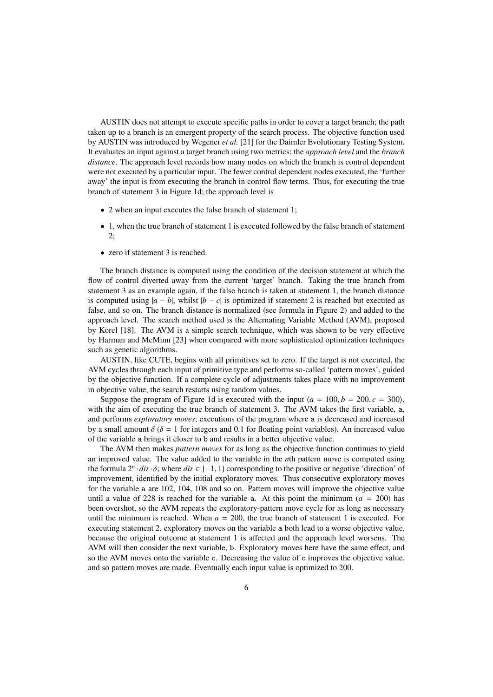AUSTIN does not attempt to execute specific paths in order to cover a target branch; the path taken up to a branch is an emergent property of the search process. The objective function used by AUSTIN was introduced by Wegener *et al.* [21] for the Daimler Evolutionary Testing System. It evaluates an input against a target branch using two metrics; the *approach level* and the *branch distance*. The approach level records how many nodes on which the branch is control dependent were not executed by a particular input. The fewer control dependent nodes executed, the 'further away' the input is from executing the branch in control flow terms. Thus, for executing the true branch of statement 3 in Figure 1d; the approach level is

- 2 when an input executes the false branch of statement 1;
- 1, when the true branch of statement 1 is executed followed by the false branch of statement 2;
- zero if statement 3 is reached.

The branch distance is computed using the condition of the decision statement at which the flow of control diverted away from the current 'target' branch. Taking the true branch from statement 3 as an example again, if the false branch is taken at statement 1, the branch distance is computed using  $|a - b|$ , whilst  $|b - c|$  is optimized if statement 2 is reached but executed as false, and so on. The branch distance is normalized (see formula in Figure 2) and added to the approach level. The search method used is the Alternating Variable Method (AVM), proposed by Korel [18]. The AVM is a simple search technique, which was shown to be very effective by Harman and McMinn [23] when compared with more sophisticated optimization techniques such as genetic algorithms.

AUSTIN, like CUTE, begins with all primitives set to zero. If the target is not executed, the AVM cycles through each input of primitive type and performs so-called 'pattern moves', guided by the objective function. If a complete cycle of adjustments takes place with no improvement in objective value, the search restarts using random values.

Suppose the program of Figure 1d is executed with the input  $\langle a = 100, b = 200, c = 300 \rangle$ , with the aim of executing the true branch of statement 3. The AVM takes the first variable, a, and performs *exploratory moves*; executions of the program where a is decreased and increased by a small amount  $\delta$  ( $\delta = 1$  for integers and 0.1 for floating point variables). An increased value of the variable a brings it closer to b and results in a better objective value.

The AVM then makes *pattern moves* for as long as the objective function continues to yield an improved value. The value added to the variable in the *n*th pattern move is computed using the formula  $2^n \cdot dir \cdot \delta$ ; where  $dir \in \{-1, 1\}$  corresponding to the positive or negative 'direction' of improvement, identified by the initial exploratory moves. Thus consecutive exploratory moves for the variable a are 102, 104, 108 and so on. Pattern moves will improve the objective value until a value of 228 is reached for the variable a. At this point the minimum  $(a = 200)$  has been overshot, so the AVM repeats the exploratory-pattern move cycle for as long as necessary until the minimum is reached. When  $a = 200$ , the true branch of statement 1 is executed. For executing statement 2, exploratory moves on the variable a both lead to a worse objective value, because the original outcome at statement 1 is affected and the approach level worsens. The AVM will then consider the next variable, b. Exploratory moves here have the same effect, and so the AVM moves onto the variable c. Decreasing the value of c improves the objective value, and so pattern moves are made. Eventually each input value is optimized to 200.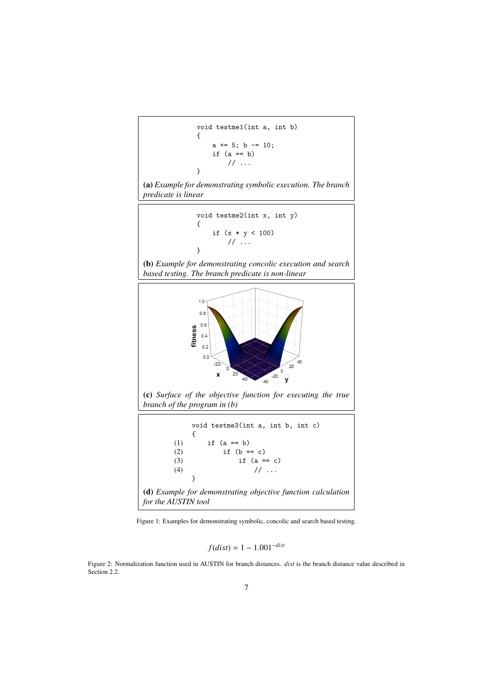```
void testme1(int a, int b)
{
    a == 5; b == 10;if (a == b)// ...
}
```
(a) *Example for demonstrating symbolic execution. The branch predicate is linear*

void testme2(int x, int y) { if (x \* y < 100) // ... }

(b) *Example for demonstrating concolic execution and search based testing. The branch predicate is non-linear*



(c) *Surface of the objective function for executing the true branch of the program in (b)*



Figure 1: Examples for demonstrating symbolic, concolic and search based testing.

$$
f(dist) = 1 - 1.001^{-dist}
$$

Figure 2: Normalization function used in AUSTIN for branch distances. *dist* is the branch distance value described in Section 2.2.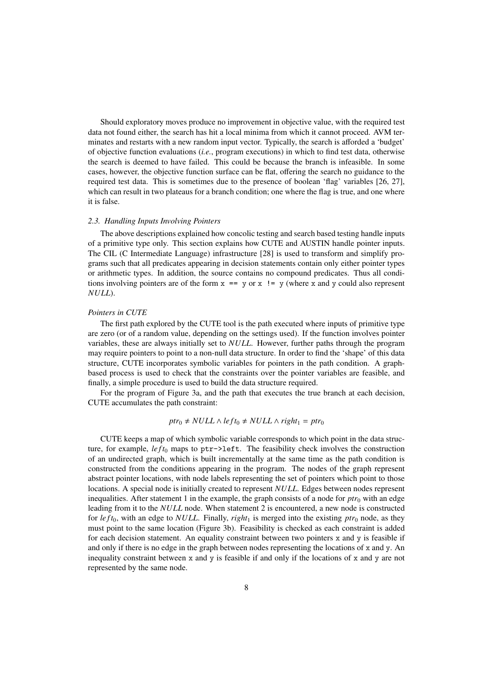Should exploratory moves produce no improvement in objective value, with the required test data not found either, the search has hit a local minima from which it cannot proceed. AVM terminates and restarts with a new random input vector. Typically, the search is afforded a 'budget' of objective function evaluations (*i.e.*, program executions) in which to find test data, otherwise the search is deemed to have failed. This could be because the branch is infeasible. In some cases, however, the objective function surface can be flat, offering the search no guidance to the required test data. This is sometimes due to the presence of boolean 'flag' variables [26, 27], which can result in two plateaus for a branch condition; one where the flag is true, and one where it is false.

#### *2.3. Handling Inputs Involving Pointers*

The above descriptions explained how concolic testing and search based testing handle inputs of a primitive type only. This section explains how CUTE and AUSTIN handle pointer inputs. The CIL (C Intermediate Language) infrastructure [28] is used to transform and simplify programs such that all predicates appearing in decision statements contain only either pointer types or arithmetic types. In addition, the source contains no compound predicates. Thus all conditions involving pointers are of the form  $x = y$  or  $x$  !  $y$  (where x and y could also represent *NULL*).

#### *Pointers in CUTE*

The first path explored by the CUTE tool is the path executed where inputs of primitive type are zero (or of a random value, depending on the settings used). If the function involves pointer variables, these are always initially set to *NULL*. However, further paths through the program may require pointers to point to a non-null data structure. In order to find the 'shape' of this data structure, CUTE incorporates symbolic variables for pointers in the path condition. A graphbased process is used to check that the constraints over the pointer variables are feasible, and finally, a simple procedure is used to build the data structure required.

For the program of Figure 3a, and the path that executes the true branch at each decision, CUTE accumulates the path constraint:

# $ptr_0 \neq NULL \wedge left_0 \neq NULL \wedge right_1 = ptr_0$

CUTE keeps a map of which symbolic variable corresponds to which point in the data structure, for example, *left*<sup>0</sup> maps to ptr->left. The feasibility check involves the construction of an undirected graph, which is built incrementally at the same time as the path condition is constructed from the conditions appearing in the program. The nodes of the graph represent abstract pointer locations, with node labels representing the set of pointers which point to those locations. A special node is initially created to represent *NULL*. Edges between nodes represent inequalities. After statement 1 in the example, the graph consists of a node for  $ptr_0$  with an edge leading from it to the *NULL* node. When statement 2 is encountered, a new node is constructed for  $left$  *left*<sub>0</sub>, with an edge to *NULL*. Finally, *right*<sub>1</sub> is merged into the existing *ptr*<sub>0</sub> node, as they must point to the same location (Figure 3b). Feasibility is checked as each constraint is added for each decision statement. An equality constraint between two pointers x and y is feasible if and only if there is no edge in the graph between nodes representing the locations of  $x$  and  $y$ . An inequality constraint between x and y is feasible if and only if the locations of x and y are not represented by the same node.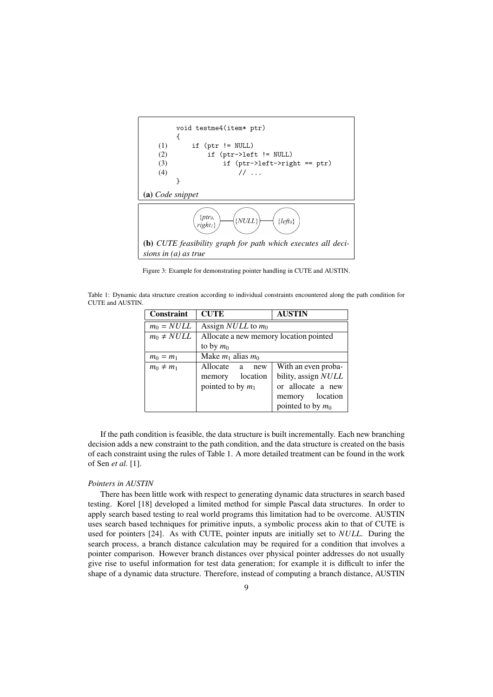

Figure 3: Example for demonstrating pointer handling in CUTE and AUSTIN.

Table 1: Dynamic data structure creation according to individual constraints encountered along the path condition for CUTE and AUSTIN.

| <b>Constraint</b> | <b>CUTE</b>                            | <b>AUSTIN</b>       |  |  |  |
|-------------------|----------------------------------------|---------------------|--|--|--|
| $m_0 = NULL$      | Assign <i>NULL</i> to $m_0$            |                     |  |  |  |
| $m_0 \neq NULL$   | Allocate a new memory location pointed |                     |  |  |  |
|                   | to by $m_0$                            |                     |  |  |  |
| $m_0 = m_1$       | Make $m_1$ alias $m_0$                 |                     |  |  |  |
| $m_0 \neq m_1$    | Allocate a<br>new                      | With an even proba- |  |  |  |
|                   | location<br>memory                     | bility, assign NULL |  |  |  |
|                   | pointed to by $m_1$                    | or allocate a new   |  |  |  |
|                   |                                        | memory location     |  |  |  |
|                   |                                        | pointed to by $m_0$ |  |  |  |

If the path condition is feasible, the data structure is built incrementally. Each new branching decision adds a new constraint to the path condition, and the data structure is created on the basis of each constraint using the rules of Table 1. A more detailed treatment can be found in the work of Sen *et al.* [1].

# *Pointers in AUSTIN*

There has been little work with respect to generating dynamic data structures in search based testing. Korel [18] developed a limited method for simple Pascal data structures. In order to apply search based testing to real world programs this limitation had to be overcome. AUSTIN uses search based techniques for primitive inputs, a symbolic process akin to that of CUTE is used for pointers [24]. As with CUTE, pointer inputs are initially set to *NULL*. During the search process, a branch distance calculation may be required for a condition that involves a pointer comparison. However branch distances over physical pointer addresses do not usually give rise to useful information for test data generation; for example it is difficult to infer the shape of a dynamic data structure. Therefore, instead of computing a branch distance, AUSTIN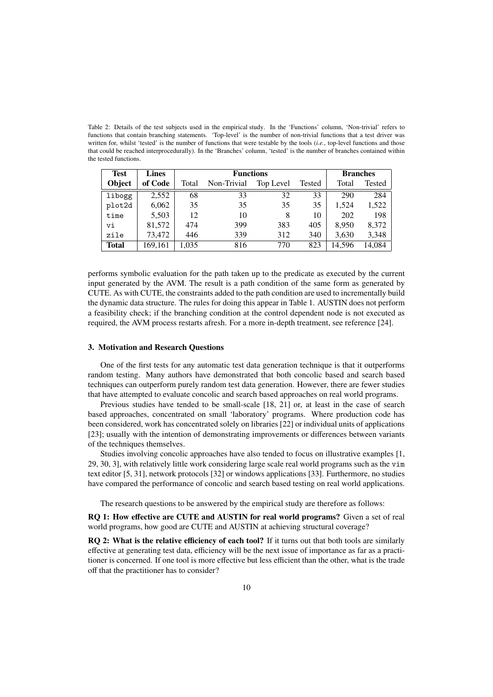Table 2: Details of the test subjects used in the empirical study. In the 'Functions' column, 'Non-trivial' refers to functions that contain branching statements. 'Top-level' is the number of non-trivial functions that a test driver was written for, whilst 'tested' is the number of functions that were testable by the tools (*i.e.*, top-level functions and those that could be reached interprocedurally). In the 'Branches' column, 'tested' is the number of branches contained within the tested functions.

| <b>Test</b>   | <b>Lines</b> | <b>Functions</b> |             |           |        | <b>Branches</b> |               |  |
|---------------|--------------|------------------|-------------|-----------|--------|-----------------|---------------|--|
| <b>Object</b> | of Code      | Total            | Non-Trivial | Top Level | Tested | Total           | <b>Tested</b> |  |
| libogg        | 2,552        | 68               | 33          | 32        | 33     | 290             | 284           |  |
| plot2d        | 6,062        | 35               | 35          | 35        | 35     | 1,524           | 1,522         |  |
| time          | 5,503        | 12               | 10          | 8         | 10     | 202             | 198           |  |
| vi            | 81,572       | 474              | 399         | 383       | 405    | 8,950           | 8,372         |  |
| zile          | 73,472       | 446              | 339         | 312       | 340    | 3,630           | 3,348         |  |
| <b>Total</b>  | 169,161      | 1,035            | 816         | 770       | 823    | 14,596          | 14,084        |  |

performs symbolic evaluation for the path taken up to the predicate as executed by the current input generated by the AVM. The result is a path condition of the same form as generated by CUTE. As with CUTE, the constraints added to the path condition are used to incrementally build the dynamic data structure. The rules for doing this appear in Table 1. AUSTIN does not perform a feasibility check; if the branching condition at the control dependent node is not executed as required, the AVM process restarts afresh. For a more in-depth treatment, see reference [24].

#### 3. Motivation and Research Questions

One of the first tests for any automatic test data generation technique is that it outperforms random testing. Many authors have demonstrated that both concolic based and search based techniques can outperform purely random test data generation. However, there are fewer studies that have attempted to evaluate concolic and search based approaches on real world programs.

Previous studies have tended to be small-scale [18, 21] or, at least in the case of search based approaches, concentrated on small 'laboratory' programs. Where production code has been considered, work has concentrated solely on libraries [22] or individual units of applications [23]; usually with the intention of demonstrating improvements or differences between variants of the techniques themselves.

Studies involving concolic approaches have also tended to focus on illustrative examples [1, 29, 30, 3], with relatively little work considering large scale real world programs such as the vim text editor [5, 31], network protocols [32] or windows applications [33]. Furthermore, no studies have compared the performance of concolic and search based testing on real world applications.

The research questions to be answered by the empirical study are therefore as follows:

RQ 1: How effective are CUTE and AUSTIN for real world programs? Given a set of real world programs, how good are CUTE and AUSTIN at achieving structural coverage?

RO 2: What is the relative efficiency of each tool? If it turns out that both tools are similarly effective at generating test data, efficiency will be the next issue of importance as far as a practitioner is concerned. If one tool is more effective but less efficient than the other, what is the trade off that the practitioner has to consider?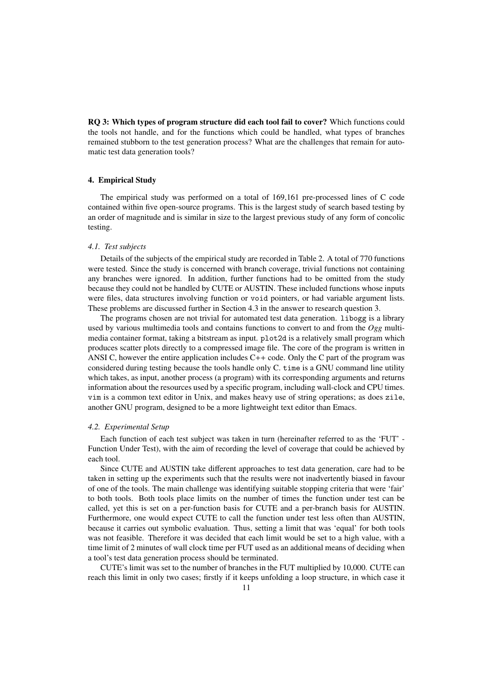RQ 3: Which types of program structure did each tool fail to cover? Which functions could the tools not handle, and for the functions which could be handled, what types of branches remained stubborn to the test generation process? What are the challenges that remain for automatic test data generation tools?

#### 4. Empirical Study

The empirical study was performed on a total of 169,161 pre-processed lines of C code contained within five open-source programs. This is the largest study of search based testing by an order of magnitude and is similar in size to the largest previous study of any form of concolic testing.

## *4.1. Test subjects*

Details of the subjects of the empirical study are recorded in Table 2. A total of 770 functions were tested. Since the study is concerned with branch coverage, trivial functions not containing any branches were ignored. In addition, further functions had to be omitted from the study because they could not be handled by CUTE or AUSTIN. These included functions whose inputs were files, data structures involving function or void pointers, or had variable argument lists. These problems are discussed further in Section 4.3 in the answer to research question 3.

The programs chosen are not trivial for automated test data generation. libogg is a library used by various multimedia tools and contains functions to convert to and from the *Ogg* multimedia container format, taking a bitstream as input. plot2d is a relatively small program which produces scatter plots directly to a compressed image file. The core of the program is written in ANSI C, however the entire application includes  $C++$  code. Only the C part of the program was considered during testing because the tools handle only C. time is a GNU command line utility which takes, as input, another process (a program) with its corresponding arguments and returns information about the resources used by a specific program, including wall-clock and CPU times. vim is a common text editor in Unix, and makes heavy use of string operations; as does zile, another GNU program, designed to be a more lightweight text editor than Emacs.

#### *4.2. Experimental Setup*

Each function of each test subject was taken in turn (hereinafter referred to as the 'FUT' - Function Under Test), with the aim of recording the level of coverage that could be achieved by each tool.

Since CUTE and AUSTIN take different approaches to test data generation, care had to be taken in setting up the experiments such that the results were not inadvertently biased in favour of one of the tools. The main challenge was identifying suitable stopping criteria that were 'fair' to both tools. Both tools place limits on the number of times the function under test can be called, yet this is set on a per-function basis for CUTE and a per-branch basis for AUSTIN. Furthermore, one would expect CUTE to call the function under test less often than AUSTIN, because it carries out symbolic evaluation. Thus, setting a limit that was 'equal' for both tools was not feasible. Therefore it was decided that each limit would be set to a high value, with a time limit of 2 minutes of wall clock time per FUT used as an additional means of deciding when a tool's test data generation process should be terminated.

CUTE's limit was set to the number of branches in the FUT multiplied by 10,000. CUTE can reach this limit in only two cases; firstly if it keeps unfolding a loop structure, in which case it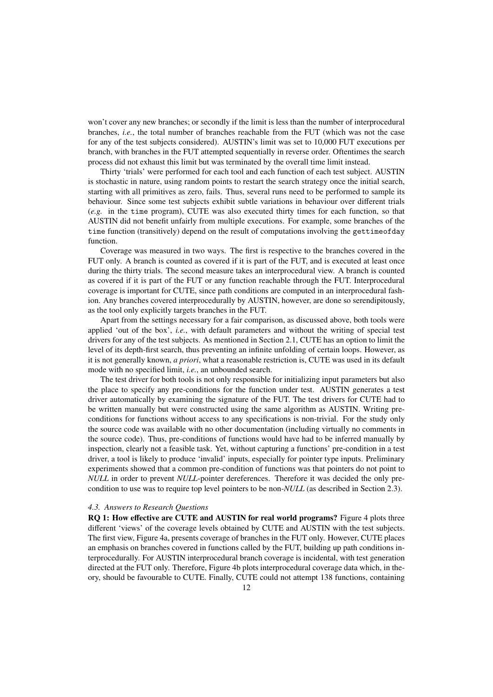won't cover any new branches; or secondly if the limit is less than the number of interprocedural branches, *i.e.*, the total number of branches reachable from the FUT (which was not the case for any of the test subjects considered). AUSTIN's limit was set to 10,000 FUT executions per branch, with branches in the FUT attempted sequentially in reverse order. Oftentimes the search process did not exhaust this limit but was terminated by the overall time limit instead.

Thirty 'trials' were performed for each tool and each function of each test subject. AUSTIN is stochastic in nature, using random points to restart the search strategy once the initial search, starting with all primitives as zero, fails. Thus, several runs need to be performed to sample its behaviour. Since some test subjects exhibit subtle variations in behaviour over different trials (*e.g.* in the time program), CUTE was also executed thirty times for each function, so that AUSTIN did not benefit unfairly from multiple executions. For example, some branches of the time function (transitively) depend on the result of computations involving the gettimeofday function.

Coverage was measured in two ways. The first is respective to the branches covered in the FUT only. A branch is counted as covered if it is part of the FUT, and is executed at least once during the thirty trials. The second measure takes an interprocedural view. A branch is counted as covered if it is part of the FUT or any function reachable through the FUT. Interprocedural coverage is important for CUTE, since path conditions are computed in an interprocedural fashion. Any branches covered interprocedurally by AUSTIN, however, are done so serendipitously, as the tool only explicitly targets branches in the FUT.

Apart from the settings necessary for a fair comparison, as discussed above, both tools were applied 'out of the box', *i.e.*, with default parameters and without the writing of special test drivers for any of the test subjects. As mentioned in Section 2.1, CUTE has an option to limit the level of its depth-first search, thus preventing an infinite unfolding of certain loops. However, as it is not generally known, *a priori*, what a reasonable restriction is, CUTE was used in its default mode with no specified limit, *i.e.*, an unbounded search.

The test driver for both tools is not only responsible for initializing input parameters but also the place to specify any pre-conditions for the function under test. AUSTIN generates a test driver automatically by examining the signature of the FUT. The test drivers for CUTE had to be written manually but were constructed using the same algorithm as AUSTIN. Writing preconditions for functions without access to any specifications is non-trivial. For the study only the source code was available with no other documentation (including virtually no comments in the source code). Thus, pre-conditions of functions would have had to be inferred manually by inspection, clearly not a feasible task. Yet, without capturing a functions' pre-condition in a test driver, a tool is likely to produce 'invalid' inputs, especially for pointer type inputs. Preliminary experiments showed that a common pre-condition of functions was that pointers do not point to *NULL* in order to prevent *NULL*-pointer dereferences. Therefore it was decided the only precondition to use was to require top level pointers to be non-*NULL* (as described in Section 2.3).

#### *4.3. Answers to Research Questions*

RQ 1: How effective are CUTE and AUSTIN for real world programs? Figure 4 plots three different 'views' of the coverage levels obtained by CUTE and AUSTIN with the test subjects. The first view, Figure 4a, presents coverage of branches in the FUT only. However, CUTE places an emphasis on branches covered in functions called by the FUT, building up path conditions interprocedurally. For AUSTIN interprocedural branch coverage is incidental, with test generation directed at the FUT only. Therefore, Figure 4b plots interprocedural coverage data which, in theory, should be favourable to CUTE. Finally, CUTE could not attempt 138 functions, containing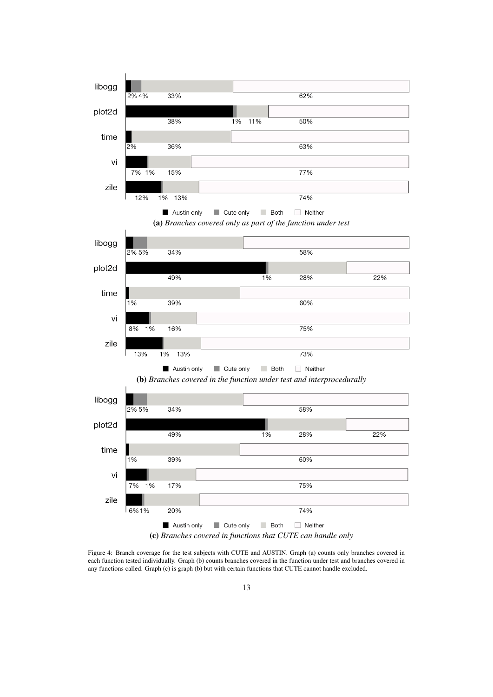

Figure 4: Branch coverage for the test subjects with CUTE and AUSTIN. Graph (a) counts only branches covered in each function tested individually. Graph (b) counts branches covered in the function under test and branches covered in any functions called. Graph (c) is graph (b) but with certain functions that CUTE cannot handle excluded.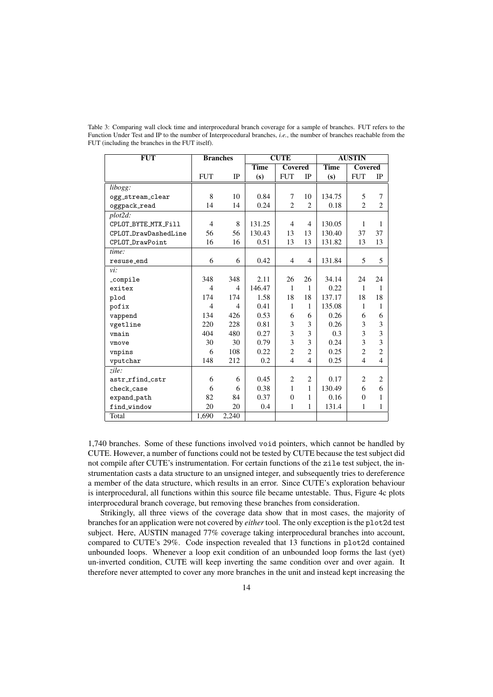| FUT                  | <b>Branches</b> |                | <b>CUTE</b> |                |                | <b>AUSTIN</b> |                |                |
|----------------------|-----------------|----------------|-------------|----------------|----------------|---------------|----------------|----------------|
|                      |                 |                | <b>Time</b> | <b>Covered</b> |                | <b>Time</b>   | <b>Covered</b> |                |
|                      | <b>FUT</b>      | <b>IP</b>      | (s)         | <b>FUT</b>     | IP             | (s)           | <b>FUT</b>     | IP             |
| libogg:              |                 |                |             |                |                |               |                |                |
| ogg_stream_clear     | 8               | 10             | 0.84        | 7              | 10             | 134.75        | 5              | 7              |
| oggpack_read         | 14              | 14             | 0.24        | $\overline{c}$ | $\overline{c}$ | 0.18          | $\overline{2}$ | $\overline{c}$ |
| plot2d:              |                 |                |             |                |                |               |                |                |
| CPLOT_BYTE_MTX_Fill  | $\overline{4}$  | 8              | 131.25      | $\overline{4}$ | $\overline{4}$ | 130.05        | 1              | 1              |
| CPLOT_DrawDashedLine | 56              | 56             | 130.43      | 13             | 13             | 130.40        | 37             | 37             |
| CPLOT_DrawPoint      | 16              | 16             | 0.51        | 13             | 13             | 131.82        | 13             | 13             |
| time:                |                 |                |             |                |                |               |                |                |
| resuse_end           | 6               | 6              | 0.42        | $\overline{4}$ | $\overline{4}$ | 131.84        | 5              | 5              |
| vi:                  |                 |                |             |                |                |               |                |                |
| _compile             | 348             | 348            | 2.11        | 26             | 26             | 34.14         | 24             | 24             |
| exitex               | $\overline{4}$  | $\overline{4}$ | 146.47      | $\mathbf{1}$   | 1              | 0.22          | 1              | 1              |
| plod                 | 174             | 174            | 1.58        | 18             | 18             | 137.17        | 18             | 18             |
| pofix                | $\overline{4}$  | 4              | 0.41        | 1              | 1              | 135.08        | 1              | 1              |
| vappend              | 134             | 426            | 0.53        | 6              | 6              | 0.26          | 6              | 6              |
| vgetline             | 220             | 228            | 0.81        | 3              | 3              | 0.26          | 3              | 3              |
| vmain                | 404             | 480            | 0.27        | 3              | 3              | 0.3           | 3              | 3              |
| vmove                | 30              | 30             | 0.79        | 3              | 3              | 0.24          | 3              | 3              |
| vnpins               | 6               | 108            | 0.22        | $\overline{c}$ | $\overline{2}$ | 0.25          | $\overline{c}$ | $\overline{2}$ |
| vputchar             | 148             | 212            | 0.2         | $\overline{4}$ | $\overline{4}$ | 0.25          | $\overline{4}$ | $\overline{4}$ |
| zile:                |                 |                |             |                |                |               |                |                |
| astr_rfind_cstr      | 6               | 6              | 0.45        | $\overline{2}$ | $\overline{2}$ | 0.17          | $\overline{c}$ | $\overline{c}$ |
| check_case           | 6               | 6              | 0.38        | 1              | 1              | 130.49        | 6              | 6              |
| expand_path          | 82              | 84             | 0.37        | $\theta$       | 1              | 0.16          | $\mathbf{0}$   | 1              |
| find_window          | 20              | 20             | 0.4         | 1              | 1              | 131.4         | 1              | 1              |
| Total                | 1,690           | 2,240          |             |                |                |               |                |                |

Table 3: Comparing wall clock time and interprocedural branch coverage for a sample of branches. FUT refers to the Function Under Test and IP to the number of Interprocedural branches, *i.e.*, the number of branches reachable from the FUT (including the branches in the FUT itself).

1,740 branches. Some of these functions involved void pointers, which cannot be handled by CUTE. However, a number of functions could not be tested by CUTE because the test subject did not compile after CUTE's instrumentation. For certain functions of the zile test subject, the instrumentation casts a data structure to an unsigned integer, and subsequently tries to dereference a member of the data structure, which results in an error. Since CUTE's exploration behaviour is interprocedural, all functions within this source file became untestable. Thus, Figure 4c plots interprocedural branch coverage, but removing these branches from consideration.

Strikingly, all three views of the coverage data show that in most cases, the majority of branches for an application were not covered by *either*tool. The only exception is the plot2d test subject. Here, AUSTIN managed 77% coverage taking interprocedural branches into account, compared to CUTE's 29%. Code inspection revealed that 13 functions in plot2d contained unbounded loops. Whenever a loop exit condition of an unbounded loop forms the last (yet) un-inverted condition, CUTE will keep inverting the same condition over and over again. It therefore never attempted to cover any more branches in the unit and instead kept increasing the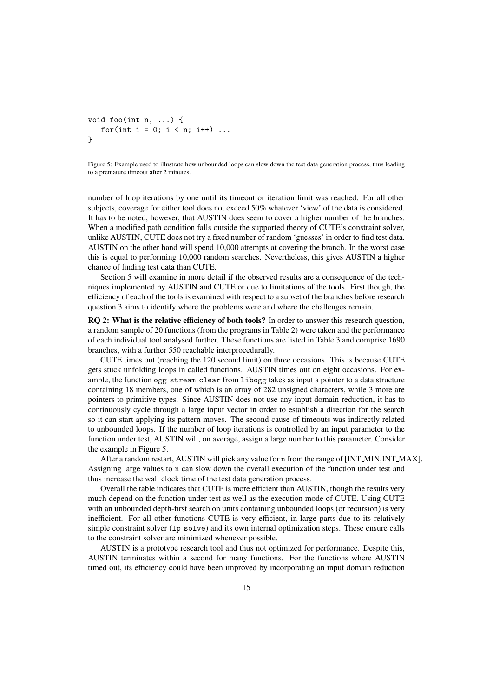```
void foo(int n, ...) {
   for(int i = 0; i < n; i++) ...
}
```
Figure 5: Example used to illustrate how unbounded loops can slow down the test data generation process, thus leading to a premature timeout after 2 minutes.

number of loop iterations by one until its timeout or iteration limit was reached. For all other subjects, coverage for either tool does not exceed 50% whatever 'view' of the data is considered. It has to be noted, however, that AUSTIN does seem to cover a higher number of the branches. When a modified path condition falls outside the supported theory of CUTE's constraint solver, unlike AUSTIN, CUTE does not try a fixed number of random 'guesses' in order to find test data. AUSTIN on the other hand will spend 10,000 attempts at covering the branch. In the worst case this is equal to performing 10,000 random searches. Nevertheless, this gives AUSTIN a higher chance of finding test data than CUTE.

Section 5 will examine in more detail if the observed results are a consequence of the techniques implemented by AUSTIN and CUTE or due to limitations of the tools. First though, the efficiency of each of the tools is examined with respect to a subset of the branches before research question 3 aims to identify where the problems were and where the challenges remain.

RQ 2: What is the relative efficiency of both tools? In order to answer this research question, a random sample of 20 functions (from the programs in Table 2) were taken and the performance of each individual tool analysed further. These functions are listed in Table 3 and comprise 1690 branches, with a further 550 reachable interprocedurally.

CUTE times out (reaching the 120 second limit) on three occasions. This is because CUTE gets stuck unfolding loops in called functions. AUSTIN times out on eight occasions. For example, the function ogg stream clear from libogg takes as input a pointer to a data structure containing 18 members, one of which is an array of 282 unsigned characters, while 3 more are pointers to primitive types. Since AUSTIN does not use any input domain reduction, it has to continuously cycle through a large input vector in order to establish a direction for the search so it can start applying its pattern moves. The second cause of timeouts was indirectly related to unbounded loops. If the number of loop iterations is controlled by an input parameter to the function under test, AUSTIN will, on average, assign a large number to this parameter. Consider the example in Figure 5.

After a random restart, AUSTIN will pick any value for n from the range of [INT\_MIN,INT\_MAX]. Assigning large values to n can slow down the overall execution of the function under test and thus increase the wall clock time of the test data generation process.

Overall the table indicates that CUTE is more efficient than AUSTIN, though the results very much depend on the function under test as well as the execution mode of CUTE. Using CUTE with an unbounded depth-first search on units containing unbounded loops (or recursion) is very inefficient. For all other functions CUTE is very efficient, in large parts due to its relatively simple constraint solver (1p\_solve) and its own internal optimization steps. These ensure calls to the constraint solver are minimized whenever possible.

AUSTIN is a prototype research tool and thus not optimized for performance. Despite this, AUSTIN terminates within a second for many functions. For the functions where AUSTIN timed out, its efficiency could have been improved by incorporating an input domain reduction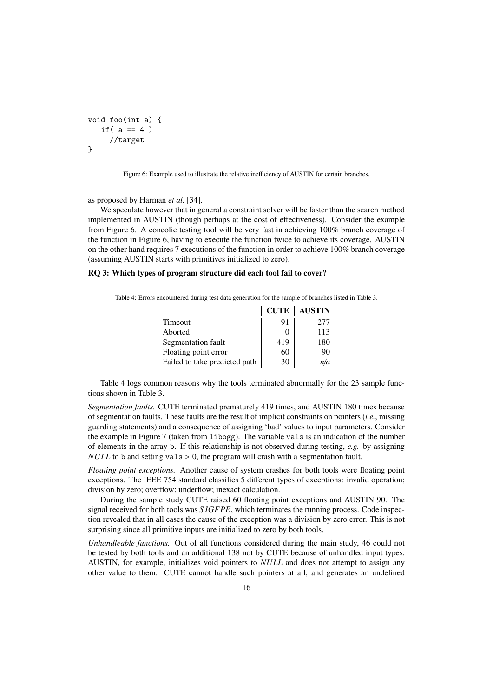```
void foo(int a) {
   if(a == 4)
     //target
}
```
Figure 6: Example used to illustrate the relative inefficiency of AUSTIN for certain branches.

as proposed by Harman *et al.* [34].

We speculate however that in general a constraint solver will be faster than the search method implemented in AUSTIN (though perhaps at the cost of effectiveness). Consider the example from Figure 6. A concolic testing tool will be very fast in achieving 100% branch coverage of the function in Figure 6, having to execute the function twice to achieve its coverage. AUSTIN on the other hand requires 7 executions of the function in order to achieve 100% branch coverage (assuming AUSTIN starts with primitives initialized to zero).

#### RQ 3: Which types of program structure did each tool fail to cover?

Table 4: Errors encountered during test data generation for the sample of branches listed in Table 3.

|                               | <b>CUTE</b> | <b>AUSTIN</b> |
|-------------------------------|-------------|---------------|
| Timeout                       | 91          | 277           |
| Aborted                       |             | 113           |
| Segmentation fault            | 419         | 180           |
| Floating point error          | 60          | 90            |
| Failed to take predicted path | 30          | n/a           |

Table 4 logs common reasons why the tools terminated abnormally for the 23 sample functions shown in Table 3.

*Segmentation faults.* CUTE terminated prematurely 419 times, and AUSTIN 180 times because of segmentation faults. These faults are the result of implicit constraints on pointers (*i.e.*, missing guarding statements) and a consequence of assigning 'bad' values to input parameters. Consider the example in Figure 7 (taken from libogg). The variable vals is an indication of the number of elements in the array b. If this relationship is not observed during testing, *e.g.* by assigning *NULL* to b and setting vals > 0, the program will crash with a segmentation fault.

*Floating point exceptions.* Another cause of system crashes for both tools were floating point exceptions. The IEEE 754 standard classifies 5 different types of exceptions: invalid operation; division by zero; overflow; underflow; inexact calculation.

During the sample study CUTE raised 60 floating point exceptions and AUSTIN 90. The signal received for both tools was *S IGFPE*, which terminates the running process. Code inspection revealed that in all cases the cause of the exception was a division by zero error. This is not surprising since all primitive inputs are initialized to zero by both tools.

*Unhandleable functions.* Out of all functions considered during the main study, 46 could not be tested by both tools and an additional 138 not by CUTE because of unhandled input types. AUSTIN, for example, initializes void pointers to *NULL* and does not attempt to assign any other value to them. CUTE cannot handle such pointers at all, and generates an undefined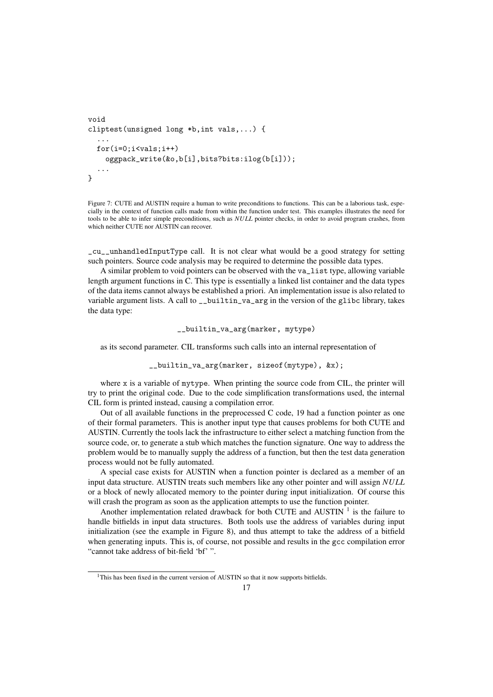```
void
cliptest(unsigned long *b,int vals,...) {
  ...
  for(i=0;i<vals;i++)
    oggpack_write(&o,b[i],bits?bits:ilog(b[i]));
  ...
}
```
Figure 7: CUTE and AUSTIN require a human to write preconditions to functions. This can be a laborious task, especially in the context of function calls made from within the function under test. This examples illustrates the need for tools to be able to infer simple preconditions, such as *NULL* pointer checks, in order to avoid program crashes, from which neither CUTE nor AUSTIN can recover.

\_cu\_\_unhandledInputType call. It is not clear what would be a good strategy for setting such pointers. Source code analysis may be required to determine the possible data types.

A similar problem to void pointers can be observed with the va\_list type, allowing variable length argument functions in C. This type is essentially a linked list container and the data types of the data items cannot always be established a priori. An implementation issue is also related to variable argument lists. A call to \_\_builtin\_va\_arg in the version of the glibc library, takes the data type:

\_\_builtin\_va\_arg(marker, mytype)

as its second parameter. CIL transforms such calls into an internal representation of

\_\_builtin\_va\_arg(marker, sizeof(mytype), &x);

where x is a variable of mytype. When printing the source code from CIL, the printer will try to print the original code. Due to the code simplification transformations used, the internal CIL form is printed instead, causing a compilation error.

Out of all available functions in the preprocessed C code, 19 had a function pointer as one of their formal parameters. This is another input type that causes problems for both CUTE and AUSTIN. Currently the tools lack the infrastructure to either select a matching function from the source code, or, to generate a stub which matches the function signature. One way to address the problem would be to manually supply the address of a function, but then the test data generation process would not be fully automated.

A special case exists for AUSTIN when a function pointer is declared as a member of an input data structure. AUSTIN treats such members like any other pointer and will assign *NULL* or a block of newly allocated memory to the pointer during input initialization. Of course this will crash the program as soon as the application attempts to use the function pointer.

Another implementation related drawback for both CUTE and AUSTIN  $<sup>1</sup>$  is the failure to</sup> handle bitfields in input data structures. Both tools use the address of variables during input initialization (see the example in Figure 8), and thus attempt to take the address of a bitfield when generating inputs. This is, of course, not possible and results in the gcc compilation error "cannot take address of bit-field 'bf' ".

<sup>&</sup>lt;sup>1</sup>This has been fixed in the current version of AUSTIN so that it now supports bitfields.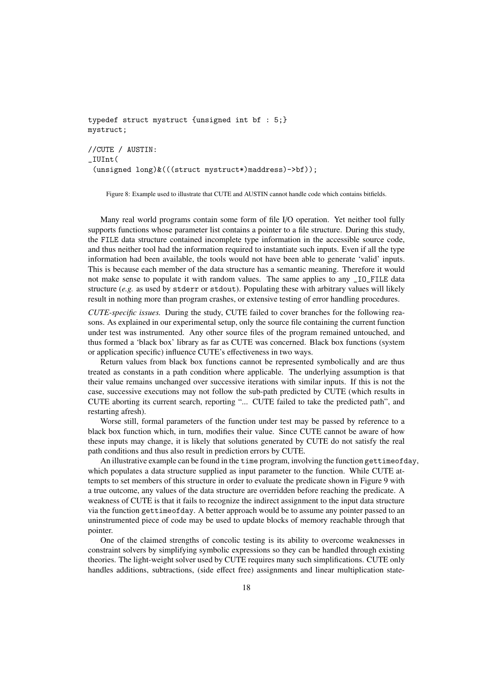```
typedef struct mystruct {unsigned int bf : 5;}
mystruct;
//CUTE / AUSTIN:
_IUInt(
 (unsigned long)&(((struct mystruct*)maddress)->bf));
```
Figure 8: Example used to illustrate that CUTE and AUSTIN cannot handle code which contains bitfields.

Many real world programs contain some form of file I/O operation. Yet neither tool fully supports functions whose parameter list contains a pointer to a file structure. During this study, the FILE data structure contained incomplete type information in the accessible source code, and thus neither tool had the information required to instantiate such inputs. Even if all the type information had been available, the tools would not have been able to generate 'valid' inputs. This is because each member of the data structure has a semantic meaning. Therefore it would not make sense to populate it with random values. The same applies to any \_IO\_FILE data structure (*e.g.* as used by stderr or stdout). Populating these with arbitrary values will likely result in nothing more than program crashes, or extensive testing of error handling procedures.

*CUTE-specific issues.* During the study, CUTE failed to cover branches for the following reasons. As explained in our experimental setup, only the source file containing the current function under test was instrumented. Any other source files of the program remained untouched, and thus formed a 'black box' library as far as CUTE was concerned. Black box functions (system or application specific) influence CUTE's effectiveness in two ways.

Return values from black box functions cannot be represented symbolically and are thus treated as constants in a path condition where applicable. The underlying assumption is that their value remains unchanged over successive iterations with similar inputs. If this is not the case, successive executions may not follow the sub-path predicted by CUTE (which results in CUTE aborting its current search, reporting "... CUTE failed to take the predicted path", and restarting afresh).

Worse still, formal parameters of the function under test may be passed by reference to a black box function which, in turn, modifies their value. Since CUTE cannot be aware of how these inputs may change, it is likely that solutions generated by CUTE do not satisfy the real path conditions and thus also result in prediction errors by CUTE.

An illustrative example can be found in the time program, involving the function gettimeofday, which populates a data structure supplied as input parameter to the function. While CUTE attempts to set members of this structure in order to evaluate the predicate shown in Figure 9 with a true outcome, any values of the data structure are overridden before reaching the predicate. A weakness of CUTE is that it fails to recognize the indirect assignment to the input data structure via the function gettimeofday. A better approach would be to assume any pointer passed to an uninstrumented piece of code may be used to update blocks of memory reachable through that pointer.

One of the claimed strengths of concolic testing is its ability to overcome weaknesses in constraint solvers by simplifying symbolic expressions so they can be handled through existing theories. The light-weight solver used by CUTE requires many such simplifications. CUTE only handles additions, subtractions, (side effect free) assignments and linear multiplication state-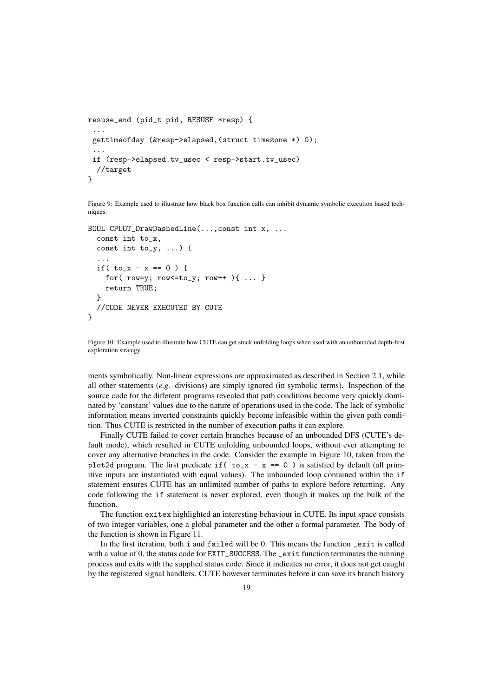```
resuse_end (pid_t pid, RESUSE *resp) {
 ...
 gettimeofday (&resp->elapsed,(struct timezone *) 0);
 ...
 if (resp->elapsed.tv_usec < resp->start.tv_usec)
  //target
}
```
Figure 9: Example used to illustrate how black box function calls can inhibit dynamic symbolic execution based techniques.

```
BOOL CPLOT_DrawDashedLine(...,const int x, ...
  const int to_x,
  const int to_y, \ldots) {
  ...
  if( to_x - x == 0 ) {
    for(row=y; row<=to_y; row++){ ... }
    return TRUE;
  }
  //CODE NEVER EXECUTED BY CUTE
}
```
Figure 10: Example used to illustrate how CUTE can get stuck unfolding loops when used with an unbounded depth-first exploration strategy.

ments symbolically. Non-linear expressions are approximated as described in Section 2.1, while all other statements (*e.g.* divisions) are simply ignored (in symbolic terms). Inspection of the source code for the different programs revealed that path conditions become very quickly dominated by 'constant' values due to the nature of operations used in the code. The lack of symbolic information means inverted constraints quickly become infeasible within the given path condition. Thus CUTE is restricted in the number of execution paths it can explore.

Finally CUTE failed to cover certain branches because of an unbounded DFS (CUTE's default mode), which resulted in CUTE unfolding unbounded loops, without ever attempting to cover any alternative branches in the code. Consider the example in Figure 10, taken from the plot2d program. The first predicate if  $($  to\_x - x = 0  $)$  is satisfied by default (all primitive inputs are instantiated with equal values). The unbounded loop contained within the if statement ensures CUTE has an unlimited number of paths to explore before returning. Any code following the if statement is never explored, even though it makes up the bulk of the function.

The function exitex highlighted an interesting behaviour in CUTE. Its input space consists of two integer variables, one a global parameter and the other a formal parameter. The body of the function is shown in Figure 11.

In the first iteration, both i and failed will be 0. This means the function \_exit is called with a value of 0, the status code for EXIT\_SUCCESS. The \_exit function terminates the running process and exits with the supplied status code. Since it indicates no error, it does not get caught by the registered signal handlers. CUTE however terminates before it can save its branch history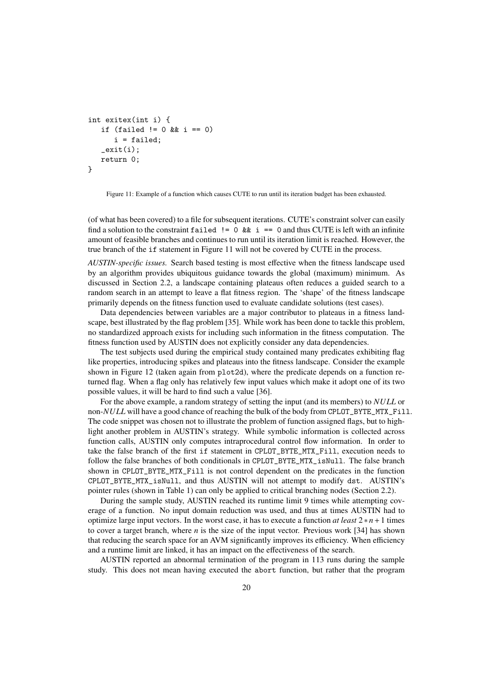```
int exitex(int i) {
   if (failed != 0 && i == 0)
      i = failed;
   _exit(i);return 0;
}
```
Figure 11: Example of a function which causes CUTE to run until its iteration budget has been exhausted.

(of what has been covered) to a file for subsequent iterations. CUTE's constraint solver can easily find a solution to the constraint failed  $!= 0$  &&  $i == 0$  and thus CUTE is left with an infinite amount of feasible branches and continues to run until its iteration limit is reached. However, the true branch of the if statement in Figure 11 will not be covered by CUTE in the process.

*AUSTIN-specific issues.* Search based testing is most effective when the fitness landscape used by an algorithm provides ubiquitous guidance towards the global (maximum) minimum. As discussed in Section 2.2, a landscape containing plateaus often reduces a guided search to a random search in an attempt to leave a flat fitness region. The 'shape' of the fitness landscape primarily depends on the fitness function used to evaluate candidate solutions (test cases).

Data dependencies between variables are a major contributor to plateaus in a fitness landscape, best illustrated by the flag problem [35]. While work has been done to tackle this problem, no standardized approach exists for including such information in the fitness computation. The fitness function used by AUSTIN does not explicitly consider any data dependencies.

The test subjects used during the empirical study contained many predicates exhibiting flag like properties, introducing spikes and plateaus into the fitness landscape. Consider the example shown in Figure 12 (taken again from plot2d), where the predicate depends on a function returned flag. When a flag only has relatively few input values which make it adopt one of its two possible values, it will be hard to find such a value [36].

For the above example, a random strategy of setting the input (and its members) to *NULL* or non-*NULL* will have a good chance of reaching the bulk of the body from CPLOT\_BYTE\_MTX\_Fill. The code snippet was chosen not to illustrate the problem of function assigned flags, but to highlight another problem in AUSTIN's strategy. While symbolic information is collected across function calls, AUSTIN only computes intraprocedural control flow information. In order to take the false branch of the first if statement in CPLOT\_BYTE\_MTX\_Fill, execution needs to follow the false branches of both conditionals in CPLOT\_BYTE\_MTX\_isNull. The false branch shown in CPLOT\_BYTE\_MTX\_Fill is not control dependent on the predicates in the function CPLOT\_BYTE\_MTX\_isNull, and thus AUSTIN will not attempt to modify dst. AUSTIN's pointer rules (shown in Table 1) can only be applied to critical branching nodes (Section 2.2).

During the sample study, AUSTIN reached its runtime limit 9 times while attempting coverage of a function. No input domain reduction was used, and thus at times AUSTIN had to optimize large input vectors. In the worst case, it has to execute a function *at least* 2 ∗ *n*+1 times to cover a target branch, where *n* is the size of the input vector. Previous work [34] has shown that reducing the search space for an AVM significantly improves its efficiency. When efficiency and a runtime limit are linked, it has an impact on the effectiveness of the search.

AUSTIN reported an abnormal termination of the program in 113 runs during the sample study. This does not mean having executed the abort function, but rather that the program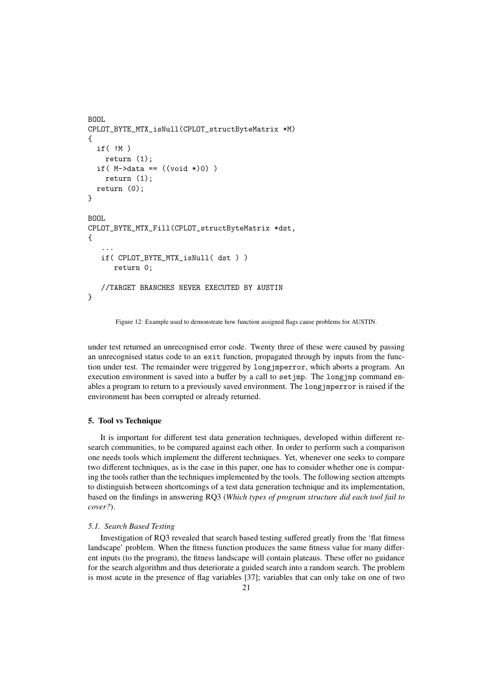```
BOOL
CPLOT_BYTE_MTX_isNull(CPLOT_structByteMatrix *M)
{
  if( !M )
    return (1);
  if( M->data == ((void *)0) )
    return (1);
  return (0);
}
BOOL
CPLOT_BYTE_MTX_Fill(CPLOT_structByteMatrix *dst,
{
   ...
   if( CPLOT_BYTE_MTX_isNull( dst ) )
      return 0;
   //TARGET BRANCHES NEVER EXECUTED BY AUSTIN
}
```
Figure 12: Example used to demonstrate how function assigned flags cause problems for AUSTIN.

under test returned an unrecognised error code. Twenty three of these were caused by passing an unrecognised status code to an exit function, propagated through by inputs from the function under test. The remainder were triggered by longjmperror, which aborts a program. An execution environment is saved into a buffer by a call to setjmp. The longjmp command enables a program to return to a previously saved environment. The longjmperror is raised if the environment has been corrupted or already returned.

## 5. Tool vs Technique

It is important for different test data generation techniques, developed within different research communities, to be compared against each other. In order to perform such a comparison one needs tools which implement the different techniques. Yet, whenever one seeks to compare two different techniques, as is the case in this paper, one has to consider whether one is comparing the tools rather than the techniques implemented by the tools. The following section attempts to distinguish between shortcomings of a test data generation technique and its implementation, based on the findings in answering RQ3 (*Which types of program structure did each tool fail to cover?*).

## *5.1. Search Based Testing*

Investigation of RQ3 revealed that search based testing suffered greatly from the 'flat fitness landscape' problem. When the fitness function produces the same fitness value for many different inputs (to the program), the fitness landscape will contain plateaus. These offer no guidance for the search algorithm and thus deteriorate a guided search into a random search. The problem is most acute in the presence of flag variables [37]; variables that can only take on one of two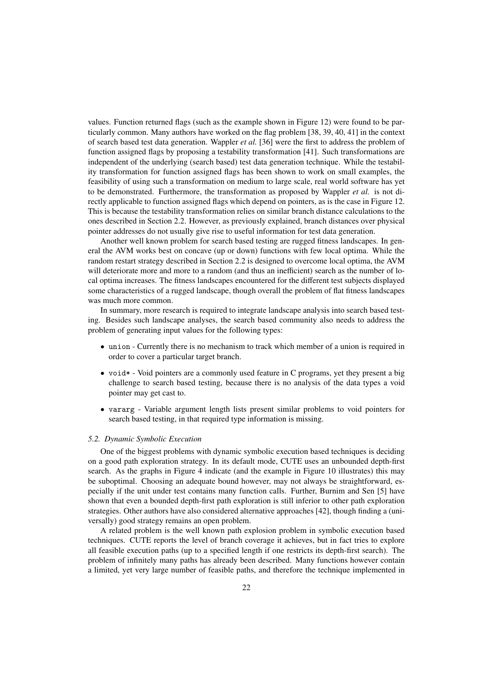values. Function returned flags (such as the example shown in Figure 12) were found to be particularly common. Many authors have worked on the flag problem [38, 39, 40, 41] in the context of search based test data generation. Wappler *et al.* [36] were the first to address the problem of function assigned flags by proposing a testability transformation [41]. Such transformations are independent of the underlying (search based) test data generation technique. While the testability transformation for function assigned flags has been shown to work on small examples, the feasibility of using such a transformation on medium to large scale, real world software has yet to be demonstrated. Furthermore, the transformation as proposed by Wappler *et al.* is not directly applicable to function assigned flags which depend on pointers, as is the case in Figure 12. This is because the testability transformation relies on similar branch distance calculations to the ones described in Section 2.2. However, as previously explained, branch distances over physical pointer addresses do not usually give rise to useful information for test data generation.

Another well known problem for search based testing are rugged fitness landscapes. In general the AVM works best on concave (up or down) functions with few local optima. While the random restart strategy described in Section 2.2 is designed to overcome local optima, the AVM will deteriorate more and more to a random (and thus an inefficient) search as the number of local optima increases. The fitness landscapes encountered for the different test subjects displayed some characteristics of a rugged landscape, though overall the problem of flat fitness landscapes was much more common.

In summary, more research is required to integrate landscape analysis into search based testing. Besides such landscape analyses, the search based community also needs to address the problem of generating input values for the following types:

- union Currently there is no mechanism to track which member of a union is required in order to cover a particular target branch.
- void \* Void pointers are a commonly used feature in C programs, yet they present a big challenge to search based testing, because there is no analysis of the data types a void pointer may get cast to.
- vararg Variable argument length lists present similar problems to void pointers for search based testing, in that required type information is missing.

#### *5.2. Dynamic Symbolic Execution*

One of the biggest problems with dynamic symbolic execution based techniques is deciding on a good path exploration strategy. In its default mode, CUTE uses an unbounded depth-first search. As the graphs in Figure 4 indicate (and the example in Figure 10 illustrates) this may be suboptimal. Choosing an adequate bound however, may not always be straightforward, especially if the unit under test contains many function calls. Further, Burnim and Sen [5] have shown that even a bounded depth-first path exploration is still inferior to other path exploration strategies. Other authors have also considered alternative approaches [42], though finding a (universally) good strategy remains an open problem.

A related problem is the well known path explosion problem in symbolic execution based techniques. CUTE reports the level of branch coverage it achieves, but in fact tries to explore all feasible execution paths (up to a specified length if one restricts its depth-first search). The problem of infinitely many paths has already been described. Many functions however contain a limited, yet very large number of feasible paths, and therefore the technique implemented in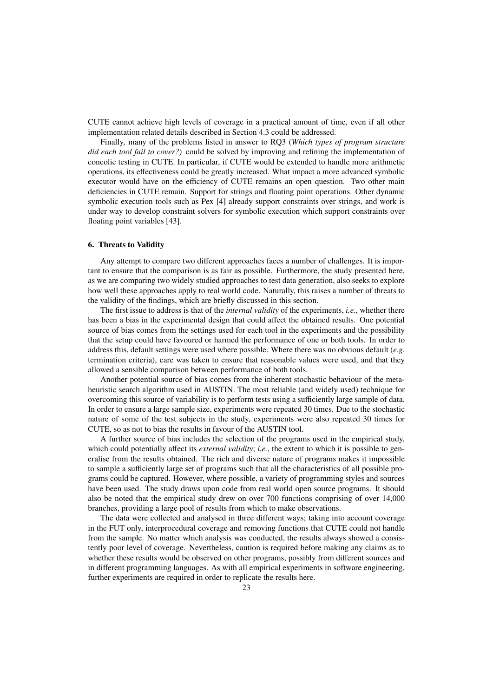CUTE cannot achieve high levels of coverage in a practical amount of time, even if all other implementation related details described in Section 4.3 could be addressed.

Finally, many of the problems listed in answer to RQ3 (*Which types of program structure did each tool fail to cover?*) could be solved by improving and refining the implementation of concolic testing in CUTE. In particular, if CUTE would be extended to handle more arithmetic operations, its effectiveness could be greatly increased. What impact a more advanced symbolic executor would have on the efficiency of CUTE remains an open question. Two other main deficiencies in CUTE remain. Support for strings and floating point operations. Other dynamic symbolic execution tools such as Pex [4] already support constraints over strings, and work is under way to develop constraint solvers for symbolic execution which support constraints over floating point variables [43].

## 6. Threats to Validity

Any attempt to compare two different approaches faces a number of challenges. It is important to ensure that the comparison is as fair as possible. Furthermore, the study presented here, as we are comparing two widely studied approaches to test data generation, also seeks to explore how well these approaches apply to real world code. Naturally, this raises a number of threats to the validity of the findings, which are briefly discussed in this section.

The first issue to address is that of the *internal validity* of the experiments, *i.e.*, whether there has been a bias in the experimental design that could affect the obtained results. One potential source of bias comes from the settings used for each tool in the experiments and the possibility that the setup could have favoured or harmed the performance of one or both tools. In order to address this, default settings were used where possible. Where there was no obvious default (*e.g.* termination criteria), care was taken to ensure that reasonable values were used, and that they allowed a sensible comparison between performance of both tools.

Another potential source of bias comes from the inherent stochastic behaviour of the metaheuristic search algorithm used in AUSTIN. The most reliable (and widely used) technique for overcoming this source of variability is to perform tests using a sufficiently large sample of data. In order to ensure a large sample size, experiments were repeated 30 times. Due to the stochastic nature of some of the test subjects in the study, experiments were also repeated 30 times for CUTE, so as not to bias the results in favour of the AUSTIN tool.

A further source of bias includes the selection of the programs used in the empirical study, which could potentially affect its *external validity*; *i.e.*, the extent to which it is possible to generalise from the results obtained. The rich and diverse nature of programs makes it impossible to sample a sufficiently large set of programs such that all the characteristics of all possible programs could be captured. However, where possible, a variety of programming styles and sources have been used. The study draws upon code from real world open source programs. It should also be noted that the empirical study drew on over 700 functions comprising of over 14,000 branches, providing a large pool of results from which to make observations.

The data were collected and analysed in three different ways; taking into account coverage in the FUT only, interprocedural coverage and removing functions that CUTE could not handle from the sample. No matter which analysis was conducted, the results always showed a consistently poor level of coverage. Nevertheless, caution is required before making any claims as to whether these results would be observed on other programs, possibly from different sources and in different programming languages. As with all empirical experiments in software engineering, further experiments are required in order to replicate the results here.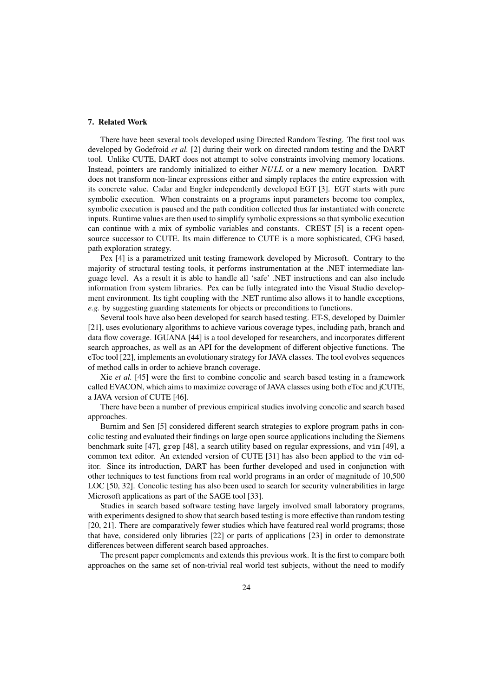## 7. Related Work

There have been several tools developed using Directed Random Testing. The first tool was developed by Godefroid *et al.* [2] during their work on directed random testing and the DART tool. Unlike CUTE, DART does not attempt to solve constraints involving memory locations. Instead, pointers are randomly initialized to either *NULL* or a new memory location. DART does not transform non-linear expressions either and simply replaces the entire expression with its concrete value. Cadar and Engler independently developed EGT [3]. EGT starts with pure symbolic execution. When constraints on a programs input parameters become too complex, symbolic execution is paused and the path condition collected thus far instantiated with concrete inputs. Runtime values are then used to simplify symbolic expressions so that symbolic execution can continue with a mix of symbolic variables and constants. CREST [5] is a recent opensource successor to CUTE. Its main difference to CUTE is a more sophisticated, CFG based, path exploration strategy.

Pex [4] is a parametrized unit testing framework developed by Microsoft. Contrary to the majority of structural testing tools, it performs instrumentation at the .NET intermediate language level. As a result it is able to handle all 'safe' .NET instructions and can also include information from system libraries. Pex can be fully integrated into the Visual Studio development environment. Its tight coupling with the .NET runtime also allows it to handle exceptions, *e.g.* by suggesting guarding statements for objects or preconditions to functions.

Several tools have also been developed for search based testing. ET-S, developed by Daimler [21], uses evolutionary algorithms to achieve various coverage types, including path, branch and data flow coverage. IGUANA [44] is a tool developed for researchers, and incorporates different search approaches, as well as an API for the development of different objective functions. The eToc tool [22], implements an evolutionary strategy for JAVA classes. The tool evolves sequences of method calls in order to achieve branch coverage.

Xie *et al.* [45] were the first to combine concolic and search based testing in a framework called EVACON, which aims to maximize coverage of JAVA classes using both eToc and jCUTE, a JAVA version of CUTE [46].

There have been a number of previous empirical studies involving concolic and search based approaches.

Burnim and Sen [5] considered different search strategies to explore program paths in concolic testing and evaluated their findings on large open source applications including the Siemens benchmark suite [47], grep [48], a search utility based on regular expressions, and vim [49], a common text editor. An extended version of CUTE [31] has also been applied to the vim editor. Since its introduction, DART has been further developed and used in conjunction with other techniques to test functions from real world programs in an order of magnitude of 10,500 LOC [50, 32]. Concolic testing has also been used to search for security vulnerabilities in large Microsoft applications as part of the SAGE tool [33].

Studies in search based software testing have largely involved small laboratory programs, with experiments designed to show that search based testing is more effective than random testing [20, 21]. There are comparatively fewer studies which have featured real world programs; those that have, considered only libraries [22] or parts of applications [23] in order to demonstrate differences between different search based approaches.

The present paper complements and extends this previous work. It is the first to compare both approaches on the same set of non-trivial real world test subjects, without the need to modify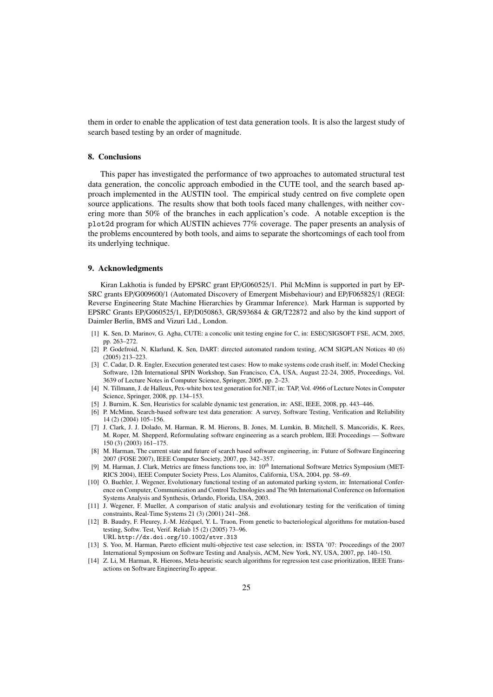them in order to enable the application of test data generation tools. It is also the largest study of search based testing by an order of magnitude.

## 8. Conclusions

This paper has investigated the performance of two approaches to automated structural test data generation, the concolic approach embodied in the CUTE tool, and the search based approach implemented in the AUSTIN tool. The empirical study centred on five complete open source applications. The results show that both tools faced many challenges, with neither covering more than 50% of the branches in each application's code. A notable exception is the plot2d program for which AUSTIN achieves 77% coverage. The paper presents an analysis of the problems encountered by both tools, and aims to separate the shortcomings of each tool from its underlying technique.

#### 9. Acknowledgments

Kiran Lakhotia is funded by EPSRC grant EP/G060525/1. Phil McMinn is supported in part by EP-SRC grants EP/G009600/1 (Automated Discovery of Emergent Misbehaviour) and EP/F065825/1 (REGI: Reverse Engineering State Machine Hierarchies by Grammar Inference). Mark Harman is supported by EPSRC Grants EP/G060525/1, EP/D050863, GR/S93684 & GR/T22872 and also by the kind support of Daimler Berlin, BMS and Vizuri Ltd., London.

- [1] K. Sen, D. Marinov, G. Agha, CUTE: a concolic unit testing engine for C, in: ESEC/SIGSOFT FSE, ACM, 2005, pp. 263–272.
- [2] P. Godefroid, N. Klarlund, K. Sen, DART: directed automated random testing, ACM SIGPLAN Notices 40 (6) (2005) 213–223.
- [3] C. Cadar, D. R. Engler, Execution generated test cases: How to make systems code crash itself, in: Model Checking Software, 12th International SPIN Workshop, San Francisco, CA, USA, August 22-24, 2005, Proceedings, Vol. 3639 of Lecture Notes in Computer Science, Springer, 2005, pp. 2–23.
- [4] N. Tillmann, J. de Halleux, Pex-white box test generation for.NET, in: TAP, Vol. 4966 of Lecture Notes in Computer Science, Springer, 2008, pp. 134–153.
- [5] J. Burnim, K. Sen, Heuristics for scalable dynamic test generation, in: ASE, IEEE, 2008, pp. 443–446.
- [6] P. McMinn, Search-based software test data generation: A survey, Software Testing, Verification and Reliability 14 (2) (2004) 105–156.
- [7] J. Clark, J. J. Dolado, M. Harman, R. M. Hierons, B. Jones, M. Lumkin, B. Mitchell, S. Mancoridis, K. Rees, M. Roper, M. Shepperd, Reformulating software engineering as a search problem, IEE Proceedings — Software 150 (3) (2003) 161–175.
- [8] M. Harman, The current state and future of search based software engineering, in: Future of Software Engineering 2007 (FOSE 2007), IEEE Computer Society, 2007, pp. 342–357.
- [9] M. Harman, J. Clark, Metrics are fitness functions too, in: 10*th* International Software Metrics Symposium (MET-RICS 2004), IEEE Computer Society Press, Los Alamitos, California, USA, 2004, pp. 58–69.
- [10] O. Buehler, J. Wegener, Evolutionary functional testing of an automated parking system, in: International Conference on Computer, Communication and Control Technologies and The 9th International Conference on Information Systems Analysis and Synthesis, Orlando, Florida, USA, 2003.
- [11] J. Wegener, F. Mueller, A comparison of static analysis and evolutionary testing for the verification of timing constraints, Real-Time Systems 21 (3) (2001) 241–268.
- [12] B. Baudry, F. Fleurey, J.-M. Jézéquel, Y. L. Traon, From genetic to bacteriological algorithms for mutation-based testing, Softw. Test, Verif. Reliab 15 (2) (2005) 73–96. URL http://dx.doi.org/10.1002/stvr.313
- [13] S. Yoo, M. Harman, Pareto efficient multi-objective test case selection, in: ISSTA '07: Proceedings of the 2007 International Symposium on Software Testing and Analysis, ACM, New York, NY, USA, 2007, pp. 140–150.
- [14] Z. Li, M. Harman, R. Hierons, Meta-heuristic search algorithms for regression test case prioritization, IEEE Transactions on Software EngineeringTo appear.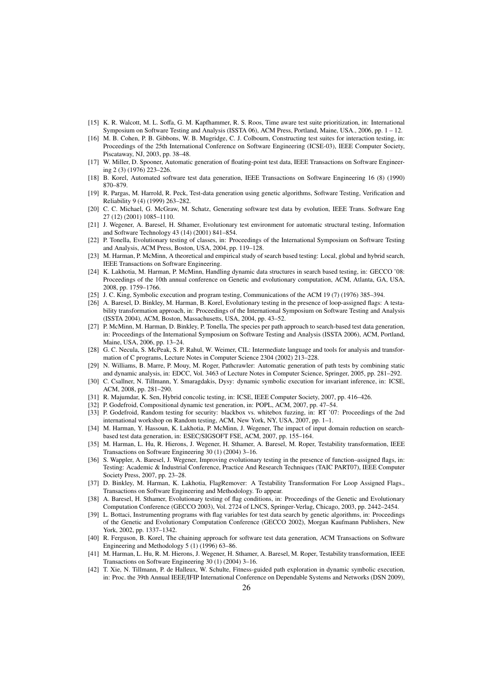- [15] K. R. Walcott, M. L. Soffa, G. M. Kapfhammer, R. S. Roos, Time aware test suite prioritization, in: International Symposium on Software Testing and Analysis (ISSTA 06), ACM Press, Portland, Maine, USA., 2006, pp. 1 – 12.
- [16] M. B. Cohen, P. B. Gibbons, W. B. Mugridge, C. J. Colbourn, Constructing test suites for interaction testing, in: Proceedings of the 25th International Conference on Software Engineering (ICSE-03), IEEE Computer Society, Piscataway, NJ, 2003, pp. 38–48.
- [17] W. Miller, D. Spooner, Automatic generation of floating-point test data, IEEE Transactions on Software Engineering 2 (3) (1976) 223–226.
- [18] B. Korel, Automated software test data generation, IEEE Transactions on Software Engineering 16 (8) (1990) 870–879.
- [19] R. Pargas, M. Harrold, R. Peck, Test-data generation using genetic algorithms, Software Testing, Verification and Reliability 9 (4) (1999) 263–282.
- [20] C. C. Michael, G. McGraw, M. Schatz, Generating software test data by evolution, IEEE Trans. Software Eng 27 (12) (2001) 1085–1110.
- [21] J. Wegener, A. Baresel, H. Sthamer, Evolutionary test environment for automatic structural testing, Information and Software Technology 43 (14) (2001) 841–854.
- [22] P. Tonella, Evolutionary testing of classes, in: Proceedings of the International Symposium on Software Testing and Analysis, ACM Press, Boston, USA, 2004, pp. 119–128.
- [23] M. Harman, P. McMinn, A theoretical and empirical study of search based testing: Local, global and hybrid search, IEEE Transactions on Software Engineering.
- [24] K. Lakhotia, M. Harman, P. McMinn, Handling dynamic data structures in search based testing, in: GECCO '08: Proceedings of the 10th annual conference on Genetic and evolutionary computation, ACM, Atlanta, GA, USA, 2008, pp. 1759–1766.
- [25] J. C. King, Symbolic execution and program testing, Communications of the ACM 19 (7) (1976) 385–394.
- [26] A. Baresel, D. Binkley, M. Harman, B. Korel, Evolutionary testing in the presence of loop-assigned flags: A testability transformation approach, in: Proceedings of the International Symposium on Software Testing and Analysis (ISSTA 2004), ACM, Boston, Massachusetts, USA, 2004, pp. 43–52.
- [27] P. McMinn, M. Harman, D. Binkley, P. Tonella, The species per path approach to search-based test data generation, in: Proceedings of the International Symposium on Software Testing and Analysis (ISSTA 2006), ACM, Portland, Maine, USA, 2006, pp. 13–24.
- [28] G. C. Necula, S. McPeak, S. P. Rahul, W. Weimer, CIL: Intermediate language and tools for analysis and transformation of C programs, Lecture Notes in Computer Science 2304 (2002) 213–228.
- [29] N. Williams, B. Marre, P. Mouy, M. Roger, Pathcrawler: Automatic generation of path tests by combining static and dynamic analysis, in: EDCC, Vol. 3463 of Lecture Notes in Computer Science, Springer, 2005, pp. 281–292.
- [30] C. Csallner, N. Tillmann, Y. Smaragdakis, Dysy: dynamic symbolic execution for invariant inference, in: ICSE, ACM, 2008, pp. 281–290.
- [31] R. Majumdar, K. Sen, Hybrid concolic testing, in: ICSE, IEEE Computer Society, 2007, pp. 416–426.
- [32] P. Godefroid, Compositional dynamic test generation, in: POPL, ACM, 2007, pp. 47–54.
- [33] P. Godefroid, Random testing for security: blackbox vs. whitebox fuzzing, in: RT '07: Proceedings of the 2nd international workshop on Random testing, ACM, New York, NY, USA, 2007, pp. 1–1.
- [34] M. Harman, Y. Hassoun, K. Lakhotia, P. McMinn, J. Wegener, The impact of input domain reduction on searchbased test data generation, in: ESEC/SIGSOFT FSE, ACM, 2007, pp. 155–164.
- [35] M. Harman, L. Hu, R. Hierons, J. Wegener, H. Sthamer, A. Baresel, M. Roper, Testability transformation, IEEE Transactions on Software Engineering 30 (1) (2004) 3–16.
- [36] S. Wappler, A. Baresel, J. Wegener, Improving evolutionary testing in the presence of function–assigned flags, in: Testing: Academic & Industrial Conference, Practice And Research Techniques (TAIC PART07), IEEE Computer Society Press, 2007, pp. 23–28.
- [37] D. Binkley, M. Harman, K. Lakhotia, FlagRemover: A Testability Transformation For Loop Assigned Flags., Transactions on Software Engineering and Methodology. To appear.
- [38] A. Baresel, H. Sthamer, Evolutionary testing of flag conditions, in: Proceedings of the Genetic and Evolutionary Computation Conference (GECCO 2003), Vol. 2724 of LNCS, Springer-Verlag, Chicago, 2003, pp. 2442–2454.
- [39] L. Bottaci, Instrumenting programs with flag variables for test data search by genetic algorithms, in: Proceedings of the Genetic and Evolutionary Computation Conference (GECCO 2002), Morgan Kaufmann Publishers, New York, 2002, pp. 1337–1342.
- [40] R. Ferguson, B. Korel, The chaining approach for software test data generation, ACM Transactions on Software Engineering and Methodology 5 (1) (1996) 63–86.
- [41] M. Harman, L. Hu, R. M. Hierons, J. Wegener, H. Sthamer, A. Baresel, M. Roper, Testability transformation, IEEE Transactions on Software Engineering 30 (1) (2004) 3–16.
- [42] T. Xie, N. Tillmann, P. de Halleux, W. Schulte, Fitness-guided path exploration in dynamic symbolic execution, in: Proc. the 39th Annual IEEE/IFIP International Conference on Dependable Systems and Networks (DSN 2009),